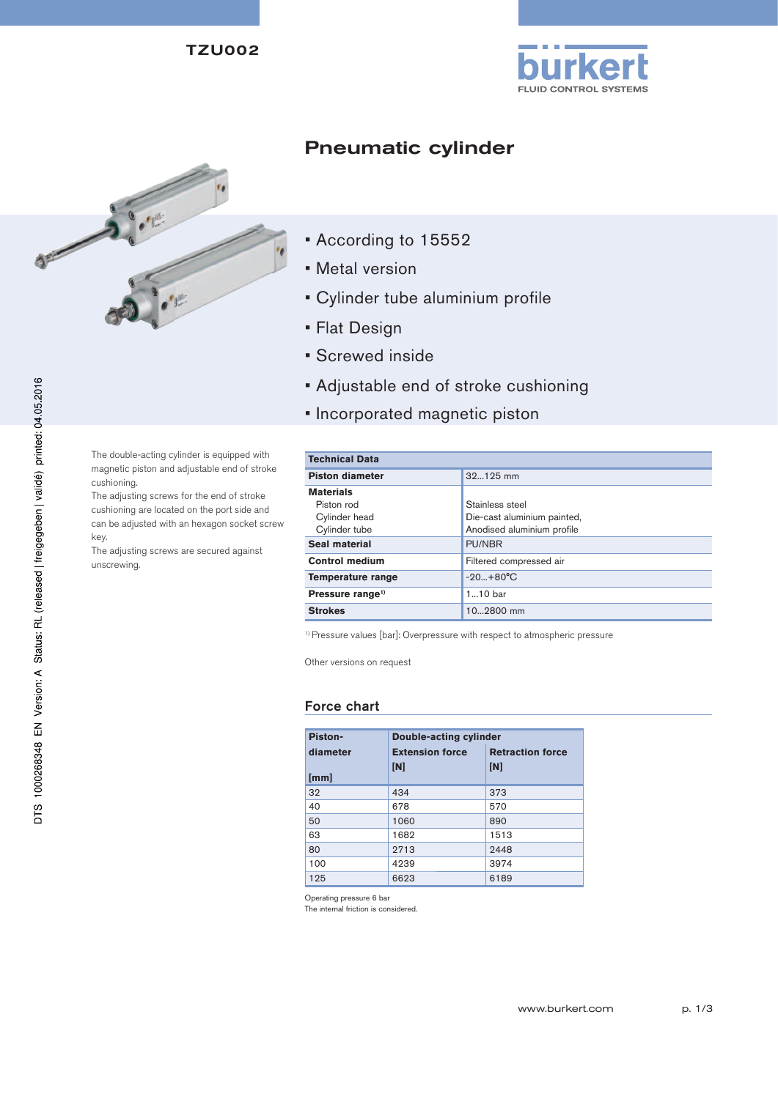TZU002





# Pneumatic cylinder

- According to 15552
- Metal version
- Cylinder tube aluminium profile
- Flat Design
- Screwed inside
- Adjustable end of stroke cushioning
- Incorporated magnetic piston

The double-acting cylinder is equipped with magnetic piston and adjustable end of stroke cushioning.

The adjusting screws for the end of stroke cushioning are located on the port side and can be adjusted with an hexagon socket screw key.

The adjusting screws are secured against unscrewing.

| <b>Technical Data</b>       |  |  |  |  |  |
|-----------------------------|--|--|--|--|--|
| 32125 mm                    |  |  |  |  |  |
|                             |  |  |  |  |  |
| Stainless steel             |  |  |  |  |  |
| Die-cast aluminium painted, |  |  |  |  |  |
| Anodised aluminium profile  |  |  |  |  |  |
| <b>PU/NBR</b>               |  |  |  |  |  |
| Filtered compressed air     |  |  |  |  |  |
| $-20+80°C$                  |  |  |  |  |  |
| $110$ bar                   |  |  |  |  |  |
| 102800 mm                   |  |  |  |  |  |
|                             |  |  |  |  |  |

<sup>1)</sup> Pressure values [bar]: Overpressure with respect to atmospheric pressure

Other versions on request

## Force chart

| Piston-  | Double-acting cylinder |                         |  |  |  |
|----------|------------------------|-------------------------|--|--|--|
| diameter | <b>Extension force</b> | <b>Retraction force</b> |  |  |  |
| [mm]     | [N]                    | [N]                     |  |  |  |
| 32       | 434                    | 373                     |  |  |  |
| 40       | 678                    | 570                     |  |  |  |
| 50       | 1060                   | 890                     |  |  |  |
| 63       | 1682                   | 1513                    |  |  |  |
| 80       | 2713                   | 2448                    |  |  |  |
| 100      | 4239                   | 3974                    |  |  |  |
| 125      | 6623                   | 6189                    |  |  |  |

Operating pressure 6 bar

The internal friction is considered.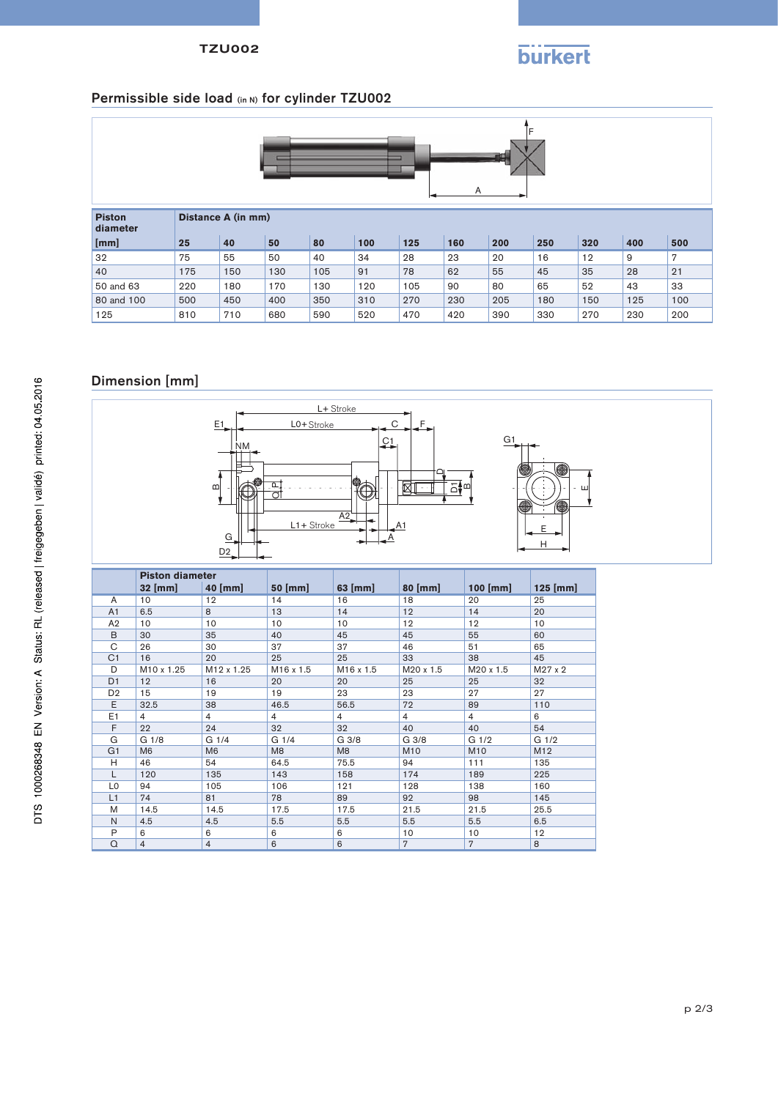#### TZU002

# **burkert**

## Permissible side load (in N) for cylinder TZU002

| Α                         |                    |     |     |     |     |     |     |     |     |     |     |     |
|---------------------------|--------------------|-----|-----|-----|-----|-----|-----|-----|-----|-----|-----|-----|
| <b>Piston</b><br>diameter | Distance A (in mm) |     |     |     |     |     |     |     |     |     |     |     |
| [mm]                      | 25                 | 40  | 50  | 80  | 100 | 125 | 160 | 200 | 250 | 320 | 400 | 500 |
| 32                        | 75                 | 55  | 50  | 40  | 34  | 28  | 23  | 20  | 16  | 12  | 9   | 7   |
| 40                        | 175                | 150 | 130 | 105 | 91  | 78  | 62  | 55  | 45  | 35  | 28  | 21  |
| 50 and 63                 | 220                | 180 | 170 | 130 | 120 | 105 | 90  | 80  | 65  | 52  | 43  | 33  |
| 80 and 100                | 500                | 450 | 400 | 350 | 310 | 270 | 230 | 205 | 180 | 150 | 125 | 100 |
| 125                       | 810                | 710 | 680 | 590 | 520 | 470 | 420 | 390 | 330 | 270 | 230 | 200 |

## Dimension [mm]



|                | <b>Piston diameter</b> |                        |                       |                       |                |                  |                  |
|----------------|------------------------|------------------------|-----------------------|-----------------------|----------------|------------------|------------------|
|                | 32 [mm]                | $40$ [mm]              | 50 [mm]               | 63 [mm]               | 80 [mm]        | $100$ [mm]       | $125$ [mm]       |
| A              | 10                     | 12                     | 14                    | 16                    | 18             | 20               | 25               |
| A1             | 6.5                    | 8                      | 13                    | 14                    | 12             | 14               | 20               |
| A2             | 10                     | 10                     | 10                    | 10                    | 12             | 12               | 10               |
| B              | 30                     | 35                     | 40                    | 45                    | 45             | 55               | 60               |
| C              | 26                     | 30                     | 37                    | 37                    | 46             | 51               | 65               |
| C <sub>1</sub> | 16                     | 20                     | 25                    | 25                    | 33             | 38               | 45               |
| D              | M10 x 1.25             | M <sub>12</sub> x 1.25 | M <sub>16</sub> x 1.5 | M <sub>16</sub> x 1.5 | M20 x 1.5      | M20 x 1.5        | $M27 \times 2$   |
| D <sub>1</sub> | 12                     | 16                     | 20                    | 20                    | 25             | 25               | 32               |
| D <sub>2</sub> | 15                     | 19                     | 19                    | 23                    | 23             | 27               | 27               |
| E              | 32.5                   | 38                     | 46.5                  | 56.5                  | 72             | 89               | 110              |
| E1             | 4                      | 4                      | $\overline{4}$        | $\overline{4}$        | $\overline{4}$ | $\overline{4}$   | 6                |
| F              | 22                     | 24                     | 32                    | 32                    | 40             | 40               | 54               |
| G              | G 1/8                  | G 1/4                  | G 1/4                 | G 3/8                 | G 3/8          | G <sub>1/2</sub> | G <sub>1/2</sub> |
| G <sub>1</sub> | M <sub>6</sub>         | M <sub>6</sub>         | M <sub>8</sub>        | M8                    | M10            | M <sub>10</sub>  | M12              |
| H              | 46                     | 54                     | 64.5                  | 75.5                  | 94             | 111              | 135              |
| L              | 120                    | 135                    | 143                   | 158                   | 174            | 189              | 225              |
| L <sub>0</sub> | 94                     | 105                    | 106                   | 121                   | 128            | 138              | 160              |
| L1             | 74                     | 81                     | 78                    | 89                    | 92             | 98               | 145              |
| M              | 14.5                   | 14.5                   | 17.5                  | 17.5                  | 21.5           | 21.5             | 25.5             |
| N              | 4.5                    | 4.5                    | 5.5                   | 5.5                   | 5.5            | 5.5              | 6.5              |
| P              | 6                      | 6                      | 6                     | 6                     | 10             | 10               | 12               |
| $\Omega$       | 4                      | $\overline{4}$         | 6                     | 6                     | $\overline{7}$ | $\overline{7}$   | 8                |